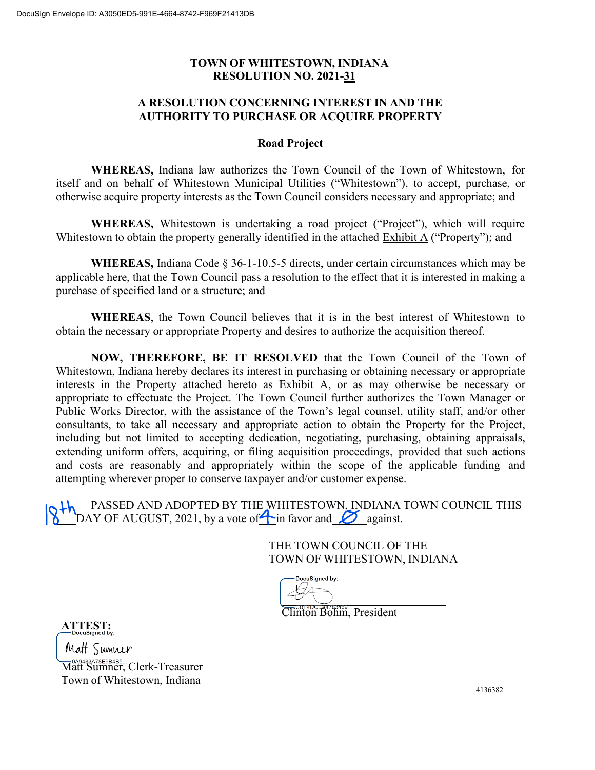## **TOWN OF WHITESTOWN, INDIANA RESOLUTION NO. 2021-31**

## **A RESOLUTION CONCERNING INTEREST IN AND THE AUTHORITY TO PURCHASE OR ACQUIRE PROPERTY**

## **Road Project**

**WHEREAS,** Indiana law authorizes the Town Council of the Town of Whitestown, for itself and on behalf of Whitestown Municipal Utilities ("Whitestown"), to accept, purchase, or otherwise acquire property interests as the Town Council considers necessary and appropriate; and

**WHEREAS,** Whitestown is undertaking a road project ("Project"), which will require Whitestown to obtain the property generally identified in the attached Exhibit A ("Property"); and

**WHEREAS,** Indiana Code § 36-1-10.5-5 directs, under certain circumstances which may be applicable here, that the Town Council pass a resolution to the effect that it is interested in making a purchase of specified land or a structure; and

**WHEREAS**, the Town Council believes that it is in the best interest of Whitestown to obtain the necessary or appropriate Property and desires to authorize the acquisition thereof.

**NOW, THEREFORE, BE IT RESOLVED** that the Town Council of the Town of Whitestown, Indiana hereby declares its interest in purchasing or obtaining necessary or appropriate interests in the Property attached hereto as Exhibit A, or as may otherwise be necessary or appropriate to effectuate the Project. The Town Council further authorizes the Town Manager or Public Works Director, with the assistance of the Town's legal counsel, utility staff, and/or other consultants, to take all necessary and appropriate action to obtain the Property for the Project, including but not limited to accepting dedication, negotiating, purchasing, obtaining appraisals, extending uniform offers, acquiring, or filing acquisition proceedings, provided that such actions and costs are reasonably and appropriately within the scope of the applicable funding and attempting wherever proper to conserve taxpayer and/or customer expense.

PASSED AND ADOPTED BY THE WHITESTOWN, INDIANA TOWN COUNCIL THIS DAY OF AUGUST, 2021, by a vote of in favor and  $\delta$  against.

> THE TOWN COUNCIL OF THE TOWN OF WHITESTOWN, INDIANA

DocuSigned by:

Clinton Bohm, President

**ATTEST:**

Matt Sumner

<u>— 049483478E9B4B5…</u><br>Matt Sumner, Clerk-Treasurer Town of Whitestown, Indiana

4136382